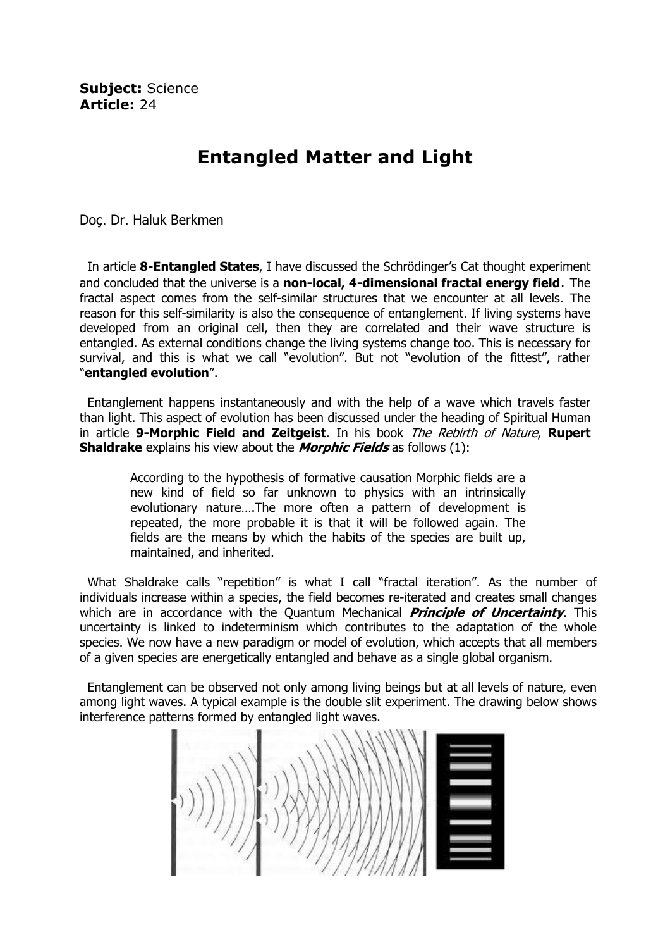## Entangled Matter and Light

Doç. Dr. Haluk Berkmen

In article 8-Entangled States, I have discussed the Schrödinger's Cat thought experiment and concluded that the universe is a non-local, 4-dimensional fractal energy field. The fractal aspect comes from the self-similar structures that we encounter at all levels. The reason for this self-similarity is also the consequence of entanglement. If living systems have developed from an original cell, then they are correlated and their wave structure is entangled. As external conditions change the living systems change too. This is necessary for survival, and this is what we call "evolution". But not "evolution of the fittest", rather "entangled evolution".

 Entanglement happens instantaneously and with the help of a wave which travels faster than light. This aspect of evolution has been discussed under the heading of Spiritual Human in article 9-Morphic Field and Zeitgeist. In his book The Rebirth of Nature, Rupert **Shaldrake** explains his view about the **Morphic Fields** as follows (1):

According to the hypothesis of formative causation Morphic fields are a new kind of field so far unknown to physics with an intrinsically evolutionary nature….The more often a pattern of development is repeated, the more probable it is that it will be followed again. The fields are the means by which the habits of the species are built up, maintained, and inherited.

 What Shaldrake calls "repetition" is what I call "fractal iteration". As the number of individuals increase within a species, the field becomes re-iterated and creates small changes which are in accordance with the Quantum Mechanical **Principle of Uncertainty**. This uncertainty is linked to indeterminism which contributes to the adaptation of the whole species. We now have a new paradigm or model of evolution, which accepts that all members of a given species are energetically entangled and behave as a single global organism.

 Entanglement can be observed not only among living beings but at all levels of nature, even among light waves. A typical example is the double slit experiment. The drawing below shows interference patterns formed by entangled light waves.